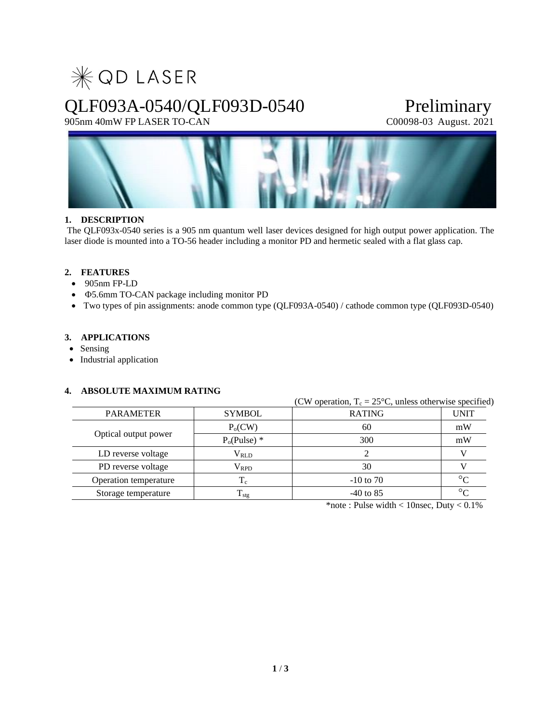

# QLF093A-0540/QLF093D-0540 Preliminary<br>
905nm 40mW FP LASER TO-CAN C00098-03 August. 2021

## 905nm 40mW FP LASER TO-CAN



### **1. DESCRIPTION**

The QLF093x-0540 series is a 905 nm quantum well laser devices designed for high output power application. The laser diode is mounted into a TO-56 header including a monitor PD and hermetic sealed with a flat glass cap.

#### **2. FEATURES**

- 905nm FP-LD
- $\Phi$ 5.6mm TO-CAN package including monitor PD
- Two types of pin assignments: anode common type (QLF093A-0540) / cathode common type (QLF093D-0540)

#### **3. APPLICATIONS**

- Sensing
- Industrial application

#### **4. ABSOLUTE MAXIMUM RATING**

| ADSOLO IL MAAIMOM NATING |                     |                                                                  |             |  |  |  |  |  |
|--------------------------|---------------------|------------------------------------------------------------------|-------------|--|--|--|--|--|
|                          |                     | (CW operation, $T_c = 25^{\circ}C$ , unless otherwise specified) |             |  |  |  |  |  |
| <b>PARAMETER</b>         | <b>SYMBOL</b>       | <b>RATING</b>                                                    | <b>UNIT</b> |  |  |  |  |  |
| Optical output power     | P <sub>o</sub> (CW) | 60                                                               | mW          |  |  |  |  |  |
|                          | $Po(Pulse)$ *       | 300                                                              | mW          |  |  |  |  |  |
| LD reverse voltage       | $\rm V_{RLD}$       |                                                                  |             |  |  |  |  |  |
| PD reverse voltage       | $\rm V_{RPD}$       | 30                                                               |             |  |  |  |  |  |
| Operation temperature    | $\rm T_c$           | $-10$ to 70                                                      | $\circ$     |  |  |  |  |  |
| Storage temperature      | $T_{\text{stg}}$    | $-40$ to 85                                                      | $\circ$     |  |  |  |  |  |

\*note : Pulse width < 10nsec, Duty < 0.1%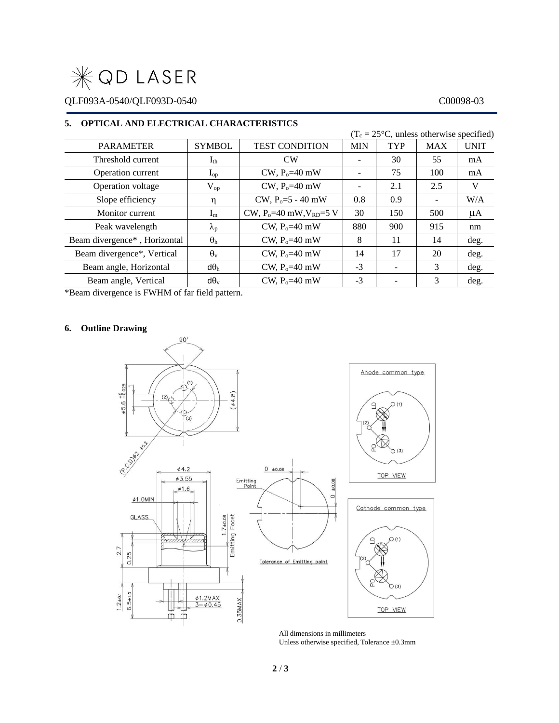$*$ QD LASER

QLF093A-0540/QLF093D-0540 C00098-03

|                              |                   |                                   | $(T_c = 25^{\circ}C$ , unless otherwise specified) |            |                          |             |
|------------------------------|-------------------|-----------------------------------|----------------------------------------------------|------------|--------------------------|-------------|
| <b>PARAMETER</b>             | <b>SYMBOL</b>     | <b>TEST CONDITION</b>             | <b>MIN</b>                                         | <b>TYP</b> | <b>MAX</b>               | <b>UNIT</b> |
| Threshold current            | $I_{th}$          | CW                                |                                                    | 30         | 55                       | mA          |
| <b>Operation current</b>     | $I_{op}$          | CW, $P_0=40$ mW                   | $\overline{\phantom{a}}$                           | 75         | 100                      | mA          |
| Operation voltage            | $\rm V_{op}$      | CW, $P_0=40$ mW                   |                                                    | 2.1        | 2.5                      | V           |
| Slope efficiency             | n                 | $CW, P_0 = 5 - 40$ mW             | 0.8                                                | 0.9        | $\overline{\phantom{0}}$ | W/A         |
| Monitor current              | $I_m$             | CW, $P_0 = 40$ mW, $V_{RD} = 5$ V | 30                                                 | 150        | 500                      | $\mu A$     |
| Peak wavelength              | $\lambda_{\rm p}$ | CW, $P_0=40$ mW                   | 880                                                | 900        | 915                      | nm          |
| Beam divergence*, Horizontal | $\theta_h$        | CW, $P_0=40$ mW                   | 8                                                  | 11         | 14                       | deg.        |
| Beam divergence*, Vertical   | $\theta_{\rm v}$  | CW, $P_0=40$ mW                   | 14                                                 | 17         | 20                       | deg.        |
| Beam angle, Horizontal       | $d\theta_h$       | CW, $P_0=40$ mW                   | $-3$                                               |            | 3                        | deg.        |
| Beam angle, Vertical         | $d\theta_v$       | CW, $P_0=40$ mW                   | $-3$                                               |            | 3                        | deg.        |

#### **5. OPTICAL AND ELECTRICAL CHARACTERISTICS**

\*Beam divergence is FWHM of far field pattern.

#### **6. Outline Drawing**



All dimensions in millimeters Unless otherwise specified, Tolerance ±0.3mm